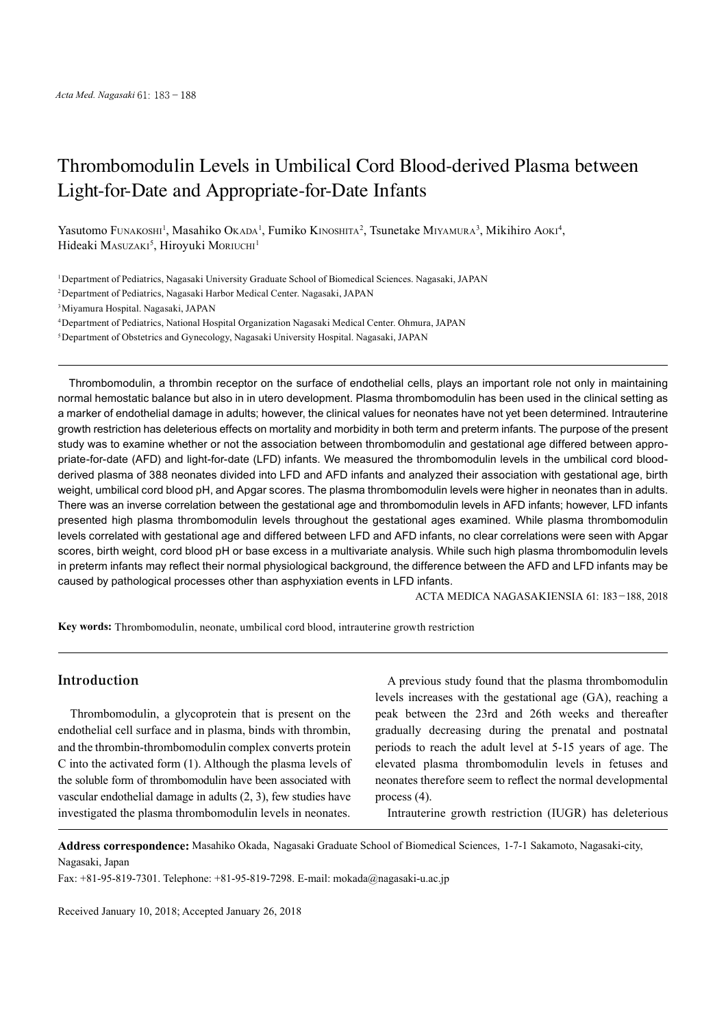# Thrombomodulin Levels in Umbilical Cord Blood-derived Plasma between Light-for-Date and Appropriate-for-Date Infants

Yasutomo Funakoshi<sup>1</sup>, Masahiko Okada<sup>1</sup>, Fumiko Kinoshita<sup>2</sup>, Tsunetake Miyamura<sup>3</sup>, Mikihiro Aoki<sup>4</sup>, Hideaki Masuzakı<sup>5</sup>, Hiroyuki Moriuchi<sup>1</sup>

1Department of Pediatrics, Nagasaki University Graduate School of Biomedical Sciences. Nagasaki, JAPAN

2Department of Pediatrics, Nagasaki Harbor Medical Center. Nagasaki, JAPAN

3Miyamura Hospital. Nagasaki, JAPAN

4Department of Pediatrics, National Hospital Organization Nagasaki Medical Center. Ohmura, JAPAN

5Department of Obstetrics and Gynecology, Nagasaki University Hospital. Nagasaki, JAPAN

Thrombomodulin, a thrombin receptor on the surface of endothelial cells, plays an important role not only in maintaining normal hemostatic balance but also in in utero development. Plasma thrombomodulin has been used in the clinical setting as a marker of endothelial damage in adults; however, the clinical values for neonates have not yet been determined. Intrauterine growth restriction has deleterious effects on mortality and morbidity in both term and preterm infants. The purpose of the present study was to examine whether or not the association between thrombomodulin and gestational age differed between appropriate-for-date (AFD) and light-for-date (LFD) infants. We measured the thrombomodulin levels in the umbilical cord bloodderived plasma of 388 neonates divided into LFD and AFD infants and analyzed their association with gestational age, birth weight, umbilical cord blood pH, and Apgar scores. The plasma thrombomodulin levels were higher in neonates than in adults. There was an inverse correlation between the gestational age and thrombomodulin levels in AFD infants; however, LFD infants presented high plasma thrombomodulin levels throughout the gestational ages examined. While plasma thrombomodulin levels correlated with gestational age and differed between LFD and AFD infants, no clear correlations were seen with Apgar scores, birth weight, cord blood pH or base excess in a multivariate analysis. While such high plasma thrombomodulin levels in preterm infants may reflect their normal physiological background, the difference between the AFD and LFD infants may be caused by pathological processes other than asphyxiation events in LFD infants.

ACTA MEDICA NAGASAKIENSIA 61: 183−188, 2018

**Key words:** Thrombomodulin, neonate, umbilical cord blood, intrauterine growth restriction

## **Introduction**

Thrombomodulin, a glycoprotein that is present on the endothelial cell surface and in plasma, binds with thrombin, and the thrombin-thrombomodulin complex converts protein C into the activated form (1). Although the plasma levels of the soluble form of thrombomodulin have been associated with vascular endothelial damage in adults (2, 3), few studies have investigated the plasma thrombomodulin levels in neonates.

A previous study found that the plasma thrombomodulin levels increases with the gestational age (GA), reaching a peak between the 23rd and 26th weeks and thereafter gradually decreasing during the prenatal and postnatal periods to reach the adult level at 5-15 years of age. The elevated plasma thrombomodulin levels in fetuses and neonates therefore seem to reflect the normal developmental process (4).

Intrauterine growth restriction (IUGR) has deleterious

**Address correspondence:** Masahiko Okada, Nagasaki Graduate School of Biomedical Sciences, 1-7-1 Sakamoto, Nagasaki-city, Nagasaki, Japan

Fax: +81-95-819-7301. Telephone: +81-95-819-7298. E-mail: mokada@nagasaki-u.ac.jp

Received January 10, 2018; Accepted January 26, 2018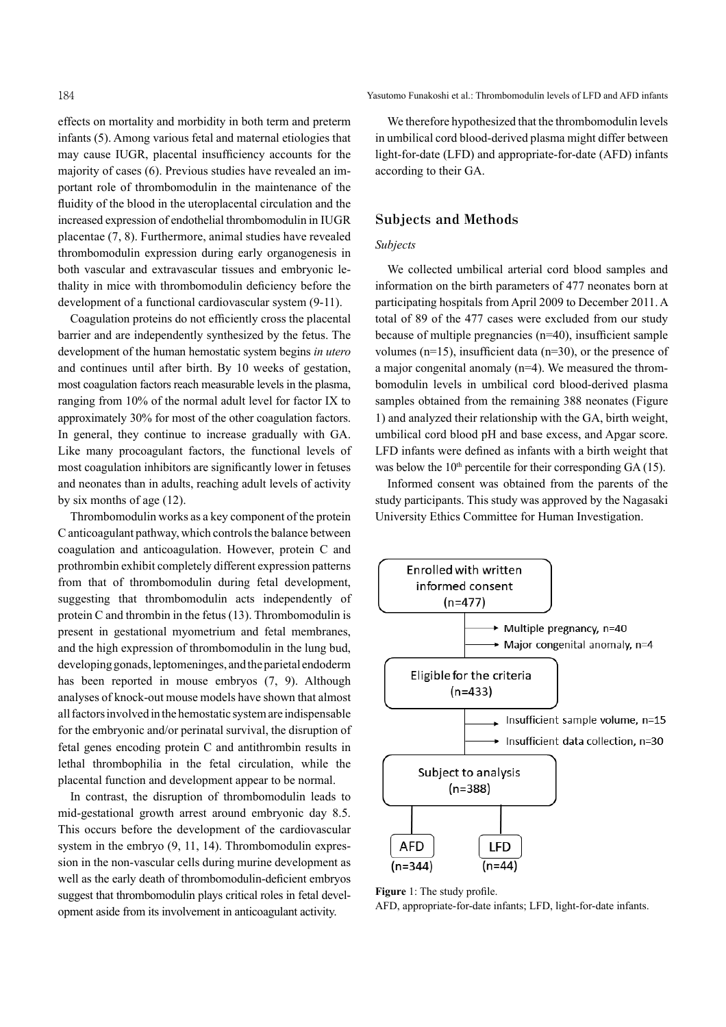effects on mortality and morbidity in both term and preterm infants (5). Among various fetal and maternal etiologies that may cause IUGR, placental insufficiency accounts for the majority of cases (6). Previous studies have revealed an important role of thrombomodulin in the maintenance of the fluidity of the blood in the uteroplacental circulation and the increased expression of endothelial thrombomodulin in IUGR placentae (7, 8). Furthermore, animal studies have revealed thrombomodulin expression during early organogenesis in both vascular and extravascular tissues and embryonic lethality in mice with thrombomodulin deficiency before the development of a functional cardiovascular system (9-11).

Coagulation proteins do not efficiently cross the placental barrier and are independently synthesized by the fetus. The development of the human hemostatic system begins *in utero* and continues until after birth. By 10 weeks of gestation, most coagulation factors reach measurable levels in the plasma, ranging from 10% of the normal adult level for factor IX to approximately 30% for most of the other coagulation factors. In general, they continue to increase gradually with GA. Like many procoagulant factors, the functional levels of most coagulation inhibitors are significantly lower in fetuses and neonates than in adults, reaching adult levels of activity by six months of age (12).

Thrombomodulin works as a key component of the protein Canticoagulant pathway, which controlsthe balance between coagulation and anticoagulation. However, protein C and prothrombin exhibit completely different expression patterns from that of thrombomodulin during fetal development, suggesting that thrombomodulin acts independently of protein C and thrombin in the fetus (13). Thrombomodulin is present in gestational myometrium and fetal membranes, and the high expression of thrombomodulin in the lung bud, developing gonads, leptomeninges, and the parietal endoderm has been reported in mouse embryos (7, 9). Although analyses of knock-out mouse models have shown that almost allfactorsinvolvedin the hemostatic systemare indispensable for the embryonic and/or perinatal survival, the disruption of fetal genes encoding protein C and antithrombin results in lethal thrombophilia in the fetal circulation, while the placental function and development appear to be normal.

In contrast, the disruption of thrombomodulin leads to mid-gestational growth arrest around embryonic day 8.5. This occurs before the development of the cardiovascular system in the embryo  $(9, 11, 14)$ . Thrombomodulin expression in the non-vascular cells during murine development as well as the early death of thrombomodulin-deficient embryos suggest that thrombomodulin plays critical roles in fetal development aside from its involvement in anticoagulant activity.

184 Yasutomo Funakoshi et al.: Thrombomodulin levels of LFD and AFD infants

We therefore hypothesized that the thrombomodulin levels in umbilical cord blood-derived plasma might differ between light-for-date (LFD) and appropriate-for-date (AFD) infants according to their GA.

# **Subjects and Methods**

### *Subjects*

We collected umbilical arterial cord blood samples and information on the birth parameters of 477 neonates born at participating hospitals from April 2009 to December 2011. A total of 89 of the 477 cases were excluded from our study because of multiple pregnancies (n=40), insufficient sample volumes (n=15), insufficient data (n=30), or the presence of a major congenital anomaly (n=4). We measured the thrombomodulin levels in umbilical cord blood-derived plasma samples obtained from the remaining 388 neonates (Figure 1) and analyzed their relationship with the GA, birth weight, umbilical cord blood pH and base excess, and Apgar score. LFD infants were defined as infants with a birth weight that was below the  $10<sup>th</sup>$  percentile for their corresponding GA (15).

Informed consent was obtained from the parents of the study participants. This study was approved by the Nagasaki University Ethics Committee for Human Investigation.



**Figure** 1: The study profile. AFD, appropriate-for-date infants; LFD, light-for-date infants.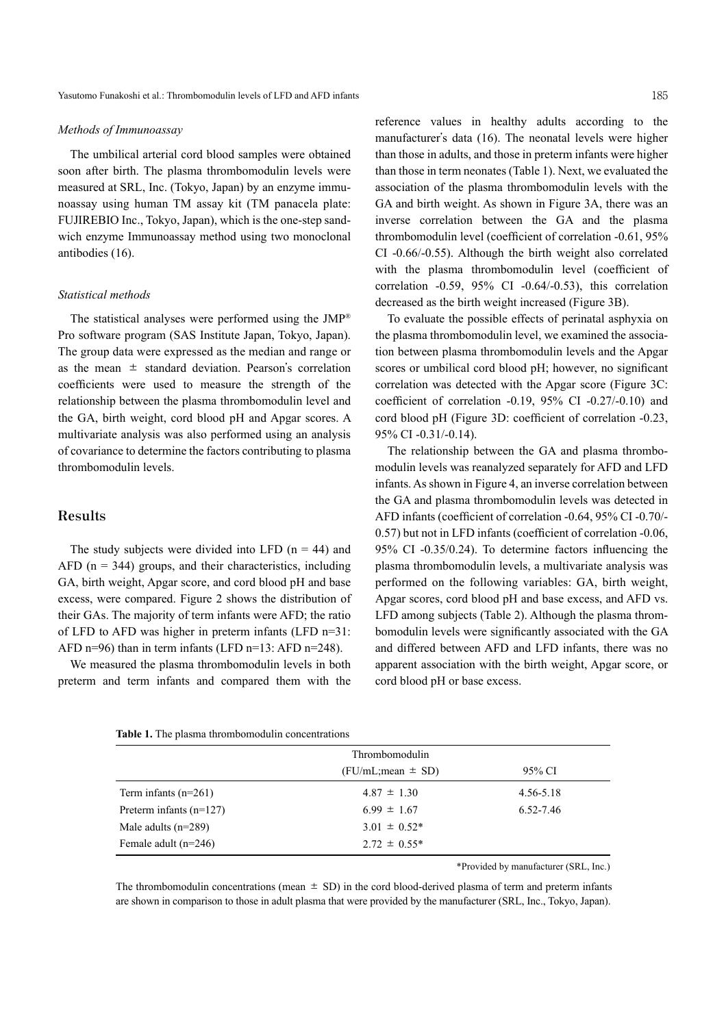#### *Methods of Immunoassay*

The umbilical arterial cord blood samples were obtained soon after birth. The plasma thrombomodulin levels were measured at SRL, Inc. (Tokyo, Japan) by an enzyme immunoassay using human TM assay kit (TM panacela plate: FUJIREBIO Inc., Tokyo, Japan), which is the one-step sandwich enzyme Immunoassay method using two monoclonal antibodies (16).

#### *Statistical methods*

The statistical analyses were performed using the  $JMP^{\circledast}$ Pro software program (SAS Institute Japan, Tokyo, Japan). The group data were expressed as the median and range or as the mean  $\pm$  standard deviation. Pearson's correlation coefficients were used to measure the strength of the relationship between the plasma thrombomodulin level and the GA, birth weight, cord blood pH and Apgar scores. A multivariate analysis was also performed using an analysis of covariance to determine the factors contributing to plasma thrombomodulin levels.

## **Results**

The study subjects were divided into LFD  $(n = 44)$  and AFD ( $n = 344$ ) groups, and their characteristics, including GA, birth weight, Apgar score, and cord blood pH and base excess, were compared. Figure 2 shows the distribution of their GAs. The majority of term infants were AFD; the ratio of LFD to AFD was higher in preterm infants (LFD n=31: AFD n=96) than in term infants (LFD n=13: AFD n=248).

We measured the plasma thrombomodulin levels in both preterm and term infants and compared them with the reference values in healthy adults according to the manufacturer's data (16). The neonatal levels were higher than those in adults, and those in preterm infants were higher than those in term neonates (Table 1). Next, we evaluated the association of the plasma thrombomodulin levels with the GA and birth weight. As shown in Figure 3A, there was an inverse correlation between the GA and the plasma thrombomodulin level (coefficient of correlation -0.61, 95% CI -0.66/-0.55). Although the birth weight also correlated with the plasma thrombomodulin level (coefficient of correlation -0.59, 95% CI -0.64/-0.53), this correlation decreased as the birth weight increased (Figure 3B).

To evaluate the possible effects of perinatal asphyxia on the plasma thrombomodulin level, we examined the association between plasma thrombomodulin levels and the Apgar scores or umbilical cord blood pH; however, no significant correlation was detected with the Apgar score (Figure 3C: coefficient of correlation -0.19, 95% CI -0.27/-0.10) and cord blood pH (Figure 3D: coefficient of correlation -0.23, 95% CI -0.31/-0.14).

The relationship between the GA and plasma thrombomodulin levels was reanalyzed separately for AFD and LFD infants. As shown in Figure 4, an inverse correlation between the GA and plasma thrombomodulin levels was detected in AFD infants (coefficient of correlation -0.64, 95% CI -0.70/- 0.57) but not in LFD infants (coefficient of correlation -0.06, 95% CI -0.35/0.24). To determine factors influencing the plasma thrombomodulin levels, a multivariate analysis was performed on the following variables: GA, birth weight, Apgar scores, cord blood pH and base excess, and AFD vs. LFD among subjects (Table 2). Although the plasma thrombomodulin levels were significantly associated with the GA and differed between AFD and LFD infants, there was no apparent association with the birth weight, Apgar score, or cord blood pH or base excess.

|  | <b>Table 1.</b> The plasma thrombomodulin concentrations |  |
|--|----------------------------------------------------------|--|
|  |                                                          |  |

|                           | Thrombomodulin<br>$(FU/mL$ ; mean $\pm$ SD) | 95% CI    |
|---------------------------|---------------------------------------------|-----------|
| Term infants $(n=261)$    | $4.87 \pm 1.30$                             | 4.56-5.18 |
| Preterm infants $(n=127)$ | $6.99 \pm 1.67$                             | 6.52-7.46 |
| Male adults $(n=289)$     | $3.01 \pm 0.52^*$                           |           |
| Female adult $(n=246)$    | $2.72 \pm 0.55^*$                           |           |

\*Provided by manufacturer (SRL, Inc.)

The thrombomodulin concentrations (mean  $\pm$  SD) in the cord blood-derived plasma of term and preterm infants are shown in comparison to those in adult plasma that were provided by the manufacturer (SRL, Inc., Tokyo, Japan).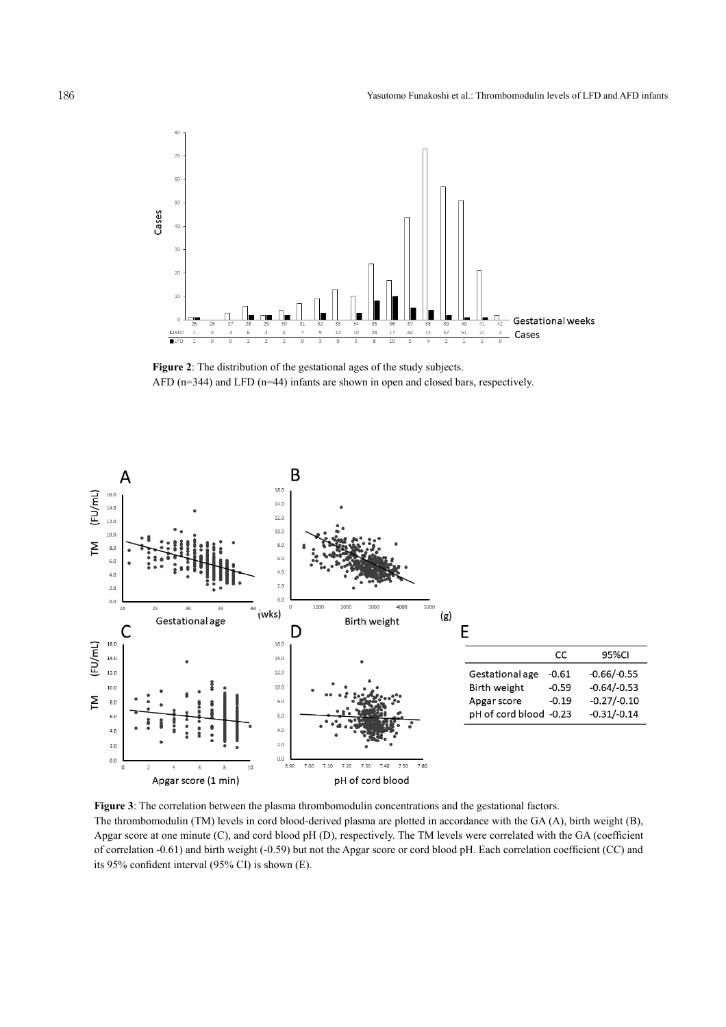

**Figure 2**: The distribution of the gestational ages of the study subjects. AFD (n=344) and LFD (n=44) infants are shown in open and closed bars, respectively.



**Figure 3**: The correlation between the plasma thrombomodulin concentrations and the gestational factors. The thrombomodulin (TM) levels in cord blood-derived plasma are plotted in accordance with the GA (A), birth weight (B), Apgar score at one minute (C), and cord blood pH (D), respectively. The TM levels were correlated with the GA (coefficient of correlation -0.61) and birth weight (-0.59) but not the Apgar score or cord blood pH. Each correlation coefficient (CC) and its 95% confident interval (95% CI) is shown (E).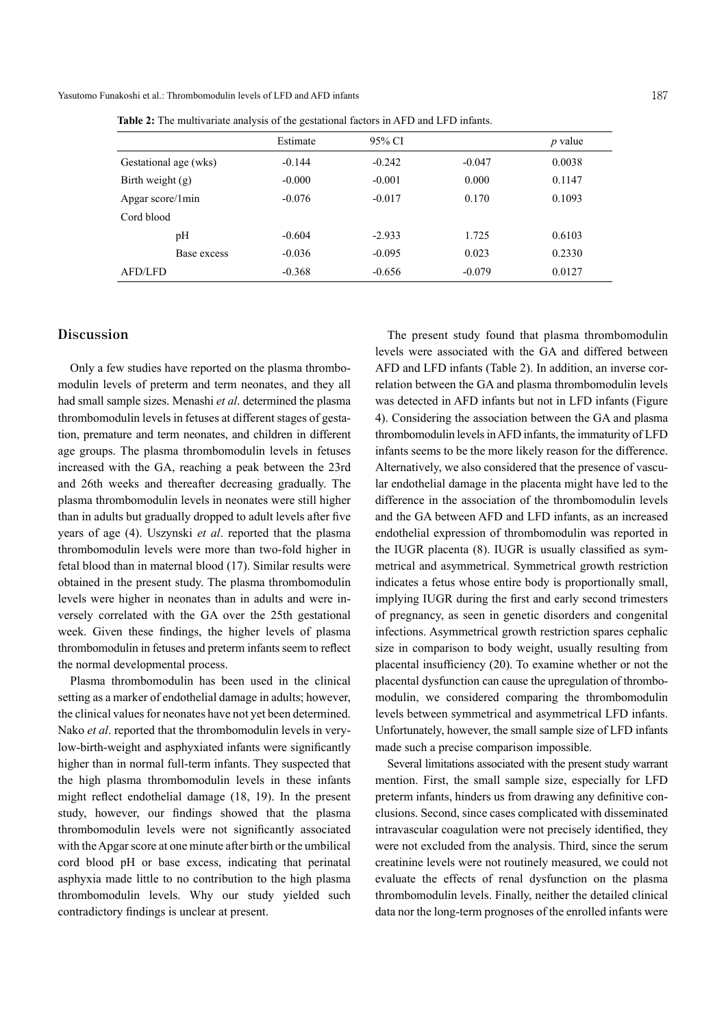Yasutomo Funakoshi et al.: Thrombomodulin levels of LFD and AFD infants 187

**Table 2:** The multivariate analysis of the gestational factors in AFD and LFD infants.

|                       |             | Estimate | 95% CI   |          | $p$ value |
|-----------------------|-------------|----------|----------|----------|-----------|
| Gestational age (wks) |             | $-0.144$ | $-0.242$ | $-0.047$ | 0.0038    |
| Birth weight $(g)$    |             | $-0.000$ | $-0.001$ | 0.000    | 0.1147    |
| Apgar score/1min      |             | $-0.076$ | $-0.017$ | 0.170    | 0.1093    |
| Cord blood            |             |          |          |          |           |
|                       | pН          | $-0.604$ | $-2.933$ | 1.725    | 0.6103    |
|                       | Base excess | $-0.036$ | $-0.095$ | 0.023    | 0.2330    |
| AFD/LFD               |             | $-0.368$ | $-0.656$ | $-0.079$ | 0.0127    |

## **Discussion**

Only a few studies have reported on the plasma thrombomodulin levels of preterm and term neonates, and they all had small sample sizes. Menashi *et al*. determined the plasma thrombomodulin levels in fetuses at different stages of gestation, premature and term neonates, and children in different age groups. The plasma thrombomodulin levels in fetuses increased with the GA, reaching a peak between the 23rd and 26th weeks and thereafter decreasing gradually. The plasma thrombomodulin levels in neonates were still higher than in adults but gradually dropped to adult levels after five years of age (4). Uszynski *et al*. reported that the plasma thrombomodulin levels were more than two-fold higher in fetal blood than in maternal blood (17). Similar results were obtained in the present study. The plasma thrombomodulin levels were higher in neonates than in adults and were inversely correlated with the GA over the 25th gestational week. Given these findings, the higher levels of plasma thrombomodulin in fetuses and preterm infants seem to reflect the normal developmental process.

Plasma thrombomodulin has been used in the clinical setting as a marker of endothelial damage in adults; however, the clinical values for neonates have not yet been determined. Nako *et al*. reported that the thrombomodulin levels in verylow-birth-weight and asphyxiated infants were significantly higher than in normal full-term infants. They suspected that the high plasma thrombomodulin levels in these infants might reflect endothelial damage (18, 19). In the present study, however, our findings showed that the plasma thrombomodulin levels were not significantly associated with the Apgar score at one minute after birth or the umbilical cord blood pH or base excess, indicating that perinatal asphyxia made little to no contribution to the high plasma thrombomodulin levels. Why our study yielded such contradictory findings is unclear at present.

The present study found that plasma thrombomodulin levels were associated with the GA and differed between AFD and LFD infants (Table 2). In addition, an inverse correlation between the GA and plasma thrombomodulin levels was detected in AFD infants but not in LFD infants (Figure 4). Considering the association between the GA and plasma thrombomodulin levels in AFD infants, the immaturity of LFD infants seems to be the more likely reason for the difference. Alternatively, we also considered that the presence of vascular endothelial damage in the placenta might have led to the difference in the association of the thrombomodulin levels and the GA between AFD and LFD infants, as an increased endothelial expression of thrombomodulin was reported in the IUGR placenta (8). IUGR is usually classified as symmetrical and asymmetrical. Symmetrical growth restriction indicates a fetus whose entire body is proportionally small, implying IUGR during the first and early second trimesters of pregnancy, as seen in genetic disorders and congenital infections. Asymmetrical growth restriction spares cephalic size in comparison to body weight, usually resulting from placental insufficiency (20). To examine whether or not the placental dysfunction can cause the upregulation of thrombomodulin, we considered comparing the thrombomodulin levels between symmetrical and asymmetrical LFD infants. Unfortunately, however, the small sample size of LFD infants made such a precise comparison impossible.

Several limitations associated with the present study warrant mention. First, the small sample size, especially for LFD preterm infants, hinders us from drawing any definitive conclusions. Second, since cases complicated with disseminated intravascular coagulation were not precisely identified, they were not excluded from the analysis. Third, since the serum creatinine levels were not routinely measured, we could not evaluate the effects of renal dysfunction on the plasma thrombomodulin levels. Finally, neither the detailed clinical data nor the long-term prognoses of the enrolled infants were